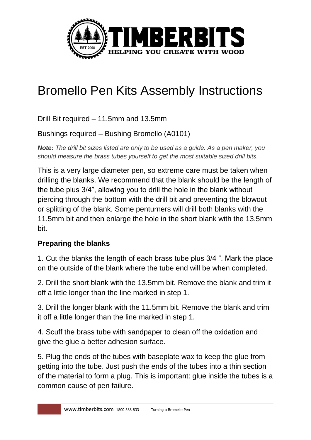

## Bromello Pen Kits Assembly Instructions

Drill Bit required – 11.5mm and 13.5mm

Bushings required – Bushing Bromello (A0101)

*Note: The drill bit sizes listed are only to be used as a guide. As a pen maker, you should measure the brass tubes yourself to get the most suitable sized drill bits.*

This is a very large diameter pen, so extreme care must be taken when drilling the blanks. We recommend that the blank should be the length of the tube plus 3/4", allowing you to drill the hole in the blank without piercing through the bottom with the drill bit and preventing the blowout or splitting of the blank. Some penturners will drill both blanks with the 11.5mm bit and then enlarge the hole in the short blank with the 13.5mm bit.

## **Preparing the blanks**

1. Cut the blanks the length of each brass tube plus 3/4 ". Mark the place on the outside of the blank where the tube end will be when completed.

2. Drill the short blank with the 13.5mm bit. Remove the blank and trim it off a little longer than the line marked in step 1.

3. Drill the longer blank with the 11.5mm bit. Remove the blank and trim it off a little longer than the line marked in step 1.

4. Scuff the brass tube with sandpaper to clean off the oxidation and give the glue a better adhesion surface.

5. Plug the ends of the tubes with baseplate wax to keep the glue from getting into the tube. Just push the ends of the tubes into a thin section of the material to form a plug. This is important: glue inside the tubes is a common cause of pen failure.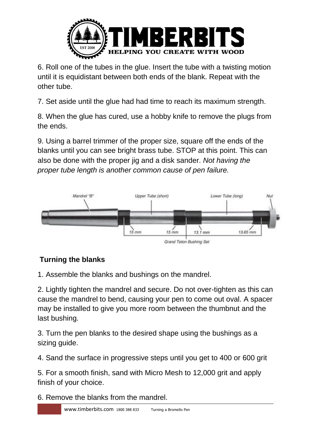

6. Roll one of the tubes in the glue. Insert the tube with a twisting motion until it is equidistant between both ends of the blank. Repeat with the other tube.

7. Set aside until the glue had had time to reach its maximum strength.

8. When the glue has cured, use a hobby knife to remove the plugs from the ends.

9. Using a barrel trimmer of the proper size, square off the ends of the blanks until you can see bright brass tube. STOP at this point. This can also be done with the proper jig and a disk sander. *Not having the proper tube length is another common cause of pen failure.*



## **Turning the blanks**

1. Assemble the blanks and bushings on the mandrel.

2. Lightly tighten the mandrel and secure. Do not over-tighten as this can cause the mandrel to bend, causing your pen to come out oval. A spacer may be installed to give you more room between the thumbnut and the last bushing.

3. Turn the pen blanks to the desired shape using the bushings as a sizing guide.

4. Sand the surface in progressive steps until you get to 400 or 600 grit

5. For a smooth finish, sand with Micro Mesh to 12,000 grit and apply finish of your choice.

6. Remove the blanks from the mandrel.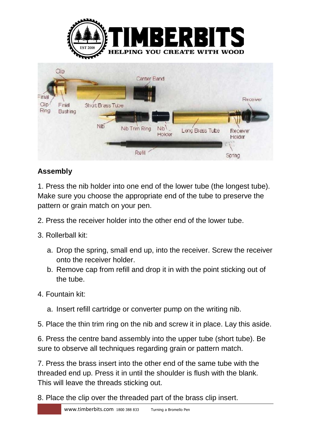

## **Assembly**

1. Press the nib holder into one end of the lower tube (the longest tube). Make sure you choose the appropriate end of the tube to preserve the pattern or grain match on your pen.

- 2. Press the receiver holder into the other end of the lower tube.
- 3. Rollerball kit:
	- a. Drop the spring, small end up, into the receiver. Screw the receiver onto the receiver holder.
	- b. Remove cap from refill and drop it in with the point sticking out of the tube.
- 4. Fountain kit:
	- a. Insert refill cartridge or converter pump on the writing nib.
- 5. Place the thin trim ring on the nib and screw it in place. Lay this aside.

6. Press the centre band assembly into the upper tube (short tube). Be sure to observe all techniques regarding grain or pattern match.

7. Press the brass insert into the other end of the same tube with the threaded end up. Press it in until the shoulder is flush with the blank. This will leave the threads sticking out.

8. Place the clip over the threaded part of the brass clip insert.